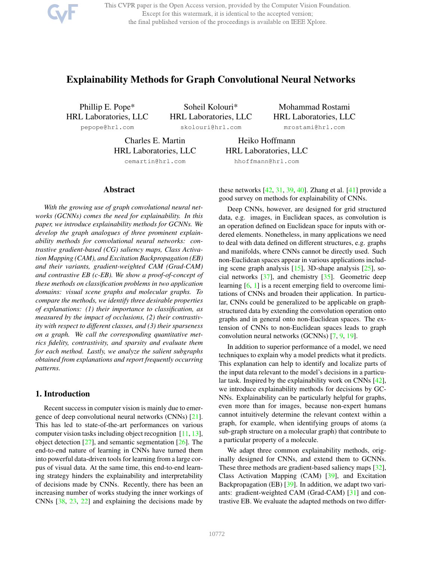This CVPR paper is the Open Access version, provided by the Computer Vision Foundation. Except for this watermark, it is identical to the accepted version; the final published version of the proceedings is available on IEEE Xplore.

# Explainability Methods for Graph Convolutional Neural Networks

Phillip E. Pope\* HRL Laboratories, LLC

Soheil Kolouri\* HRL Laboratories, LLC

pepope@hrl.com

skolouri@hrl.com

Mohammad Rostami HRL Laboratories, LLC

mrostami@hrl.com

Charles E. Martin HRL Laboratories, LLC cemartin@hrl.com

HRL Laboratories, LLC hhoffmann@hrl.com

Heiko Hoffmann

### Abstract

*With the growing use of graph convolutional neural networks (GCNNs) comes the need for explainability. In this paper, we introduce explainability methods for GCNNs. We develop the graph analogues of three prominent explainability methods for convolutional neural networks: contrastive gradient-based (CG) saliency maps, Class Activation Mapping (CAM), and Excitation Backpropagation (EB) and their variants, gradient-weighted CAM (Grad-CAM) and contrastive EB (c-EB). We show a proof-of-concept of these methods on classification problems in two application domains: visual scene graphs and molecular graphs. To compare the methods, we identify three desirable properties of explanations: (1) their importance to classification, as measured by the impact of occlusions, (2) their contrastivity with respect to different classes, and (3) their sparseness on a graph. We call the corresponding quantitative metrics fidelity, contrastivity, and sparsity and evaluate them for each method. Lastly, we analyze the salient subgraphs obtained from explanations and report frequently occurring patterns.*

### 1. Introduction

Recent success in computer vision is mainly due to emergence of deep convolutional neural networks (CNNs) [21]. This has led to state-of-the-art performances on various computer vision tasks including object recognition [11, 13], object detection  $[27]$ , and semantic segmentation  $[26]$ . The end-to-end nature of learning in CNNs have turned them into powerful data-driven tools for learning from a large corpus of visual data. At the same time, this end-to-end learning strategy hinders the explainability and interpretability of decisions made by CNNs. Recently, there has been an increasing number of works studying the inner workings of CNNs [38, 23, 22] and explaining the decisions made by

these networks  $[42, 31, 39, 40]$ . Zhang et al.  $[41]$  provide a good survey on methods for explainability of CNNs.

Deep CNNs, however, are designed for grid structured data, e.g. images, in Euclidean spaces, as convolution is an operation defined on Euclidean space for inputs with ordered elements. Nonetheless, in many applications we need to deal with data defined on different structures, e.g. graphs and manifolds, where CNNs cannot be directly used. Such non-Euclidean spaces appear in various applications including scene graph analysis [15], 3D-shape analysis [25], social networks  $\lceil 37 \rceil$ , and chemistry  $\lceil 35 \rceil$ . Geometric deep learning [6, 1] is a recent emerging field to overcome limitations of CNNs and broaden their application. In particular, CNNs could be generalized to be applicable on graphstructured data by extending the convolution operation onto graphs and in general onto non-Euclidean spaces. The extension of CNNs to non-Euclidean spaces leads to graph convolution neural networks (GCNNs) [7, 9, 19].

In addition to superior performance of a model, we need techniques to explain why a model predicts what it predicts. This explanation can help to identify and localize parts of the input data relevant to the model's decisions in a particular task. Inspired by the explainability work on CNNs [42], we introduce explainability methods for decisions by GC-NNs. Explainability can be particularly helpful for graphs, even more than for images, because non-expert humans cannot intuitively determine the relevant context within a graph, for example, when identifying groups of atoms (a sub-graph structure on a molecular graph) that contribute to a particular property of a molecule.

We adapt three common explainability methods, originally designed for CNNs, and extend them to GCNNs. These three methods are gradient-based saliency maps [32], Class Activation Mapping (CAM) [39], and Excitation Backpropagation (EB) [39]. In addition, we adapt two variants: gradient-weighted CAM (Grad-CAM) [31] and contrastive EB. We evaluate the adapted methods on two differ-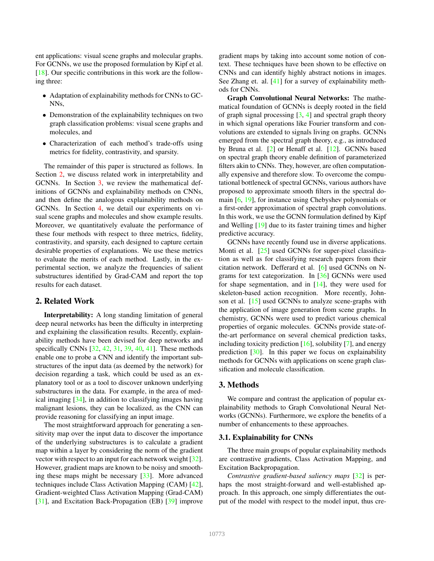ent applications: visual scene graphs and molecular graphs. For GCNNs, we use the proposed formulation by Kipf et al. [18]. Our specific contributions in this work are the following three:

- Adaptation of explainability methods for CNNs to GC-NNs,
- Demonstration of the explainability techniques on two graph classification problems: visual scene graphs and molecules, and
- Characterization of each method's trade-offs using metrics for fidelity, contrastivity, and sparsity.

The remainder of this paper is structured as follows. In Section 2, we discuss related work in interpretability and GCNNs. In Section 3, we review the mathematical definitions of GCNNs and explainability methods on CNNs, and then define the analogous explainability methods on GCNNs. In Section 4, we detail our experiments on visual scene graphs and molecules and show example results. Moreover, we quantitatively evaluate the performance of these four methods with respect to three metrics, fidelity, contrastivity, and sparsity, each designed to capture certain desirable properties of explanations. We use these metrics to evaluate the merits of each method. Lastly, in the experimental section, we analyze the frequencies of salient substructures identified by Grad-CAM and report the top results for each dataset.

## 2. Related Work

Interpretability: A long standing limitation of general deep neural networks has been the difficulty in interpreting and explaining the classification results. Recently, explainability methods have been devised for deep networks and specifically CNNs [32, 42, 31, 39, 40, 41]. These methods enable one to probe a CNN and identify the important substructures of the input data (as deemed by the network) for decision regarding a task, which could be used as an explanatory tool or as a tool to discover unknown underlying substructures in the data. For example, in the area of medical imaging [34], in addition to classifying images having malignant lesions, they can be localized, as the CNN can provide reasoning for classifying an input image.

The most straightforward approach for generating a sensitivity map over the input data to discover the importance of the underlying substructures is to calculate a gradient map within a layer by considering the norm of the gradient vector with respect to an input for each network weight [32]. However, gradient maps are known to be noisy and smoothing these maps might be necessary [33]. More advanced techniques include Class Activation Mapping (CAM) [42], Gradient-weighted Class Activation Mapping (Grad-CAM) [31], and Excitation Back-Propagation (EB) [39] improve

gradient maps by taking into account some notion of context. These techniques have been shown to be effective on CNNs and can identify highly abstract notions in images. See Zhang et. al. [41] for a survey of explainability methods for CNNs.

Graph Convolutional Neural Networks: The mathematical foundation of GCNNs is deeply rooted in the field of graph signal processing  $[3, 4]$  and spectral graph theory in which signal operations like Fourier transform and convolutions are extended to signals living on graphs. GCNNs emerged from the spectral graph theory, e.g., as introduced by Bruna et al. [2] or Henaff et al. [12]. GCNNs based on spectral graph theory enable definition of parameterized filters akin to CNNs. They, however, are often computationally expensive and therefore slow. To overcome the computational bottleneck of spectral GCNNs, various authors have proposed to approximate smooth filters in the spectral domain [6, 19], for instance using Chebyshev polynomials or a first-order approximation of spectral graph convolutions. In this work, we use the GCNN formulation defined by Kipf and Welling [19] due to its faster training times and higher predictive accuracy.

GCNNs have recently found use in diverse applications. Monti et al. [25] used GCNNs for super-pixel classification as well as for classifying research papers from their citation network. Defferard et al. [6] used GCNNs on Ngrams for text categorization. In [36] GCNNs were used for shape segmentation, and in  $[14]$ , they were used for skeleton-based action recognition. More recently, Johnson et al. [15] used GCNNs to analyze scene-graphs with the application of image generation from scene graphs. In chemistry, GCNNs were used to predict various chemical properties of organic molecules. GCNNs provide state-ofthe-art performance on several chemical prediction tasks, including toxicity prediction  $[16]$ , solubility [7], and energy prediction [30]. In this paper we focus on explainability methods for GCNNs with applications on scene graph classification and molecule classification.

### 3. Methods

We compare and contrast the application of popular explainability methods to Graph Convolutional Neural Networks (GCNNs). Furthermore, we explore the benefits of a number of enhancements to these approaches.

#### 3.1. Explainability for CNNs

The three main groups of popular explainability methods are contrastive gradients, Class Activation Mapping, and Excitation Backpropagation.

*Contrastive gradient-based saliency maps* [32] is perhaps the most straight-forward and well-established approach. In this approach, one simply differentiates the output of the model with respect to the model input, thus cre-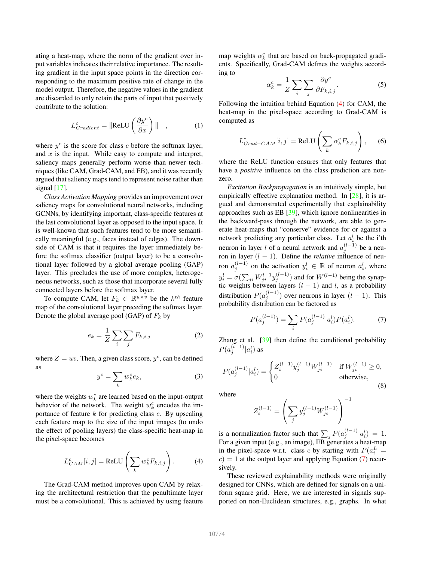ating a heat-map, where the norm of the gradient over input variables indicates their relative importance. The resulting gradient in the input space points in the direction corresponding to the maximum positive rate of change in the model output. Therefore, the negative values in the gradient are discarded to only retain the parts of input that positively contribute to the solution:

$$
L_{Gradient}^{c} = \|\text{ReLU}\left(\frac{\partial y^{c}}{\partial x}\right)\| \quad , \tag{1}
$$

where  $y^c$  is the score for class c before the softmax layer, and  $x$  is the input. While easy to compute and interpret, saliency maps generally perform worse than newer techniques (like CAM, Grad-CAM, and EB), and it was recently argued that saliency maps tend to represent noise rather than signal  $[17]$ .

*Class Activation Mapping* provides an improvement over saliency maps for convolutional neural networks, including GCNNs, by identifying important, class-specific features at the last convolutional layer as opposed to the input space. It is well-known that such features tend to be more semantically meaningful (e.g., faces instead of edges). The downside of CAM is that it requires the layer immediately before the softmax classifier (output layer) to be a convolutional layer followed by a global average pooling (GAP) layer. This precludes the use of more complex, heterogeneous networks, such as those that incorporate several fully connected layers before the softmax layer.

To compute CAM, let  $F_k \in \mathbb{R}^{u \times v}$  be the  $k^{th}$  feature map of the convolutional layer preceding the softmax layer. Denote the global average pool (GAP) of  $F_k$  by

$$
e_k = \frac{1}{Z} \sum_i \sum_j F_{k,i,j} \tag{2}
$$

where  $Z = uv$ . Then, a given class score,  $y^c$ , can be defined as

$$
y^c = \sum_k w_k^c e_k,\tag{3}
$$

where the weights  $w_k^c$  are learned based on the input-output behavior of the network. The weight  $w_k^c$  encodes the importance of feature  $k$  for predicting class  $c$ . By upscaling each feature map to the size of the input images (to undo the effect of pooling layers) the class-specific heat-map in the pixel-space becomes

$$
L_{CAM}^{c}[i,j] = \text{ReLU}\left(\sum_{k} w_{k}^{c} F_{k,i,j}\right). \tag{4}
$$

The Grad-CAM method improves upon CAM by relaxing the architectural restriction that the penultimate layer must be a convolutional. This is achieved by using feature

map weights  $\alpha_k^c$  that are based on back-propagated gradients. Specifically, Grad-CAM defines the weights according to

$$
\alpha_k^c = \frac{1}{Z} \sum_i \sum_j \frac{\partial y^c}{\partial F_{k,i,j}}.
$$
 (5)

Following the intuition behind Equation (4) for CAM, the heat-map in the pixel-space according to Grad-CAM is computed as

$$
L_{Grad-CAM}^{c}[i,j] = \text{ReLU}\left(\sum_{k} \alpha_{k}^{c} F_{k,i,j}\right),\qquad(6)
$$

where the ReLU function ensures that only features that have a *positive* influence on the class prediction are nonzero.

*Excitation Backpropagation* is an intuitively simple, but empirically effective explanation method. In [28], it is argued and demonstrated experimentally that explainability approaches such as EB [39], which ignore nonlinearities in the backward-pass through the network, are able to generate heat-maps that "conserve" evidence for or against a network predicting any particular class. Let  $a_i^l$  be the i'th neuron in layer *l* of a neural network and  $a_j^{(l-1)}$  be a neuron in layer  $(l - 1)$ . Define the *relative* influence of neuron  $a_j^{(l-1)}$  on the activation  $y_i^l \in \mathbb{R}$  of neuron  $a_i^l$ , where  $y_i^l = \sigma(\sum_{ji} W_{ji}^{l-1} y_j^{(l-1)})$  and for  $W^{(l-1)}$  being the synaptic weights between layers  $(l - 1)$  and l, as a probability distribution  $P(a_j^{(l-1)})$  over neurons in layer  $(l-1)$ . This probability distribution can be factored as

$$
P(a_j^{(l-1)}) = \sum_i P(a_j^{(l-1)} | a_i^l) P(a_i^l). \tag{7}
$$

Zhang et al. [39] then define the conditional probability  $P(a_j^{(l-1)}|a_i^l)$  as

$$
P(a_j^{(l-1)}|a_i^l) = \begin{cases} Z_i^{(l-1)} y_j^{(l-1)} W_{ji}^{(l-1)} & \text{if } W_{ji}^{(l-1)} \ge 0, \\ 0 & \text{otherwise,} \end{cases}
$$
(8)

where

$$
Z_i^{(l-1)} = \left(\sum_j y_j^{(l-1)} W_{ji}^{(l-1)}\right)^{-1}
$$

is a normalization factor such that  $\sum_j P(a_j^{(l-1)} | a_i^l) = 1$ . For a given input (e.g., an image), EB generates a heat-map in the pixel-space w.r.t. class c by starting with  $P(a_i^L =$  $c$ ) = 1 at the output layer and applying Equation (7) recursively.

These reviewed explainability methods were originally designed for CNNs, which are defined for signals on a uniform square grid. Here, we are interested in signals supported on non-Euclidean structures, e.g., graphs. In what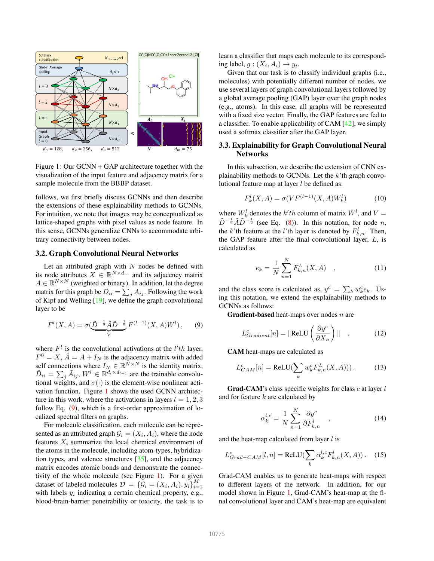

Figure 1: Our GCNN + GAP architecture together with the visualization of the input feature and adjacency matrix for a sample molecule from the BBBP dataset.

follows, we first briefly discuss GCNNs and then describe the extensions of these explainability methods to GCNNs. For intuition, we note that images may be conceptualized as lattice-shaped graphs with pixel values as node feature. In this sense, GCNNs generalize CNNs to accommodate arbitrary connectivity between nodes.

### 3.2. Graph Convolutional Neural Networks

Let an attributed graph with  $N$  nodes be defined with its node attributes  $X \in \mathbb{R}^{N \times d_{in}}$  and its adjacency matrix  $A \in \mathbb{R}^{N \times N}$  (weighted or binary). In addition, let the degree matrix for this graph be  $D_{ii} = \sum_j A_{ij}$ . Following the work of Kipf and Welling [19], we define the graph convolutional layer to be

$$
F^{l}(X, A) = \sigma(\underbrace{\tilde{D}^{-\frac{1}{2}} \tilde{A} \tilde{D}^{-\frac{1}{2}}}_{V} F^{(l-1)}(X, A) W^{l}), \quad (9)
$$

where  $F^l$  is the convolutional activations at the  $l'th$  layer,  $F^0 = X$ ,  $\tilde{A} = A + I_N$  is the adjacency matrix with added self connections where  $I_N \in \mathbb{R}^{\tilde{N} \times N}$  is the identity matrix,  $\tilde{D}_{ii} = \sum_{j} \tilde{A}_{ij}, W^{l} \in \mathbb{R}^{d_l \times d_{l+1}}$  are the trainable convolutional weights, and  $\sigma(\cdot)$  is the element-wise nonlinear activation function. Figure 1 shows the used GCNN architecture in this work, where the activations in layers  $l = 1, 2, 3$ follow Eq. (9), which is a first-order approximation of localized spectral filters on graphs.

For molecule classification, each molecule can be represented as an attributed graph  $\mathcal{G}_i = (X_i, A_i)$ , where the node features  $X_i$  summarize the local chemical environment of the atoms in the molecule, including atom-types, hybridization types, and valence structures [35], and the adjacency matrix encodes atomic bonds and demonstrate the connectivity of the whole molecule (see Figure 1). For a given dataset of labeled molecules  $\mathcal{D} = \{\mathcal{G}_i = (X_i, A_i), y_i\}_{i=1}^M$ with labels  $y_i$  indicating a certain chemical property, e.g., blood-brain-barrier penetrability or toxicity, the task is to

learn a classifier that maps each molecule to its corresponding label,  $g: (X_i, A_i) \rightarrow y_i$ .

Given that our task is to classify individual graphs (i.e., molecules) with potentially different number of nodes, we use several layers of graph convolutional layers followed by a global average pooling (GAP) layer over the graph nodes (e.g., atoms). In this case, all graphs will be represented with a fixed size vector. Finally, the GAP features are fed to a classifier. To enable applicability of CAM [42], we simply used a softmax classifier after the GAP layer.

### 3.3. Explainability for Graph Convolutional Neural Networks

In this subsection, we describe the extension of CNN explainability methods to GCNNs. Let the  $k$ 'th graph convolutional feature map at layer  $l$  be defined as:

$$
F_k^l(X, A) = \sigma(VF^{(l-1)}(X, A)W_k^l)
$$
\n(10)

where  $W_k^l$  denotes the  $k'th$  column of matrix  $W^l$ , and  $V =$  $\tilde{D}^{-\frac{1}{2}}\tilde{A}\tilde{D}^{-\frac{1}{2}}$  (see Eq. (8)). In this notation, for node n, the k'th feature at the l'th layer is denoted by  $F_{k,n}^l$ . Then, the GAP feature after the final convolutional layer,  $L$ , is calculated as

$$
e_k = \frac{1}{N} \sum_{n=1}^{N} F_{k,n}^L(X, A) \quad , \tag{11}
$$

and the class score is calculated as,  $y^c = \sum_k w_k^c e_k$ . Using this notation, we extend the explainability methods to GCNNs as follows:

**Gradient-based** heat-maps over nodes  $n$  are

$$
L_{Gradient}^{c}[n] = \|\text{ReLU}\left(\frac{\partial y^{c}}{\partial X_{n}}\right)\| \quad . \tag{12}
$$

CAM heat-maps are calculated as

$$
L_{CAM}^{c}[n] = \text{ReLU}(\sum_{k} w_{k}^{c} F_{k,n}^{L}(X, A))). \tag{13}
$$

**Grad-CAM**'s class specific weights for class  $c$  at layer  $l$ and for feature  $k$  are calculated by

$$
\alpha_k^{l,c} = \frac{1}{N} \sum_{n=1}^N \frac{\partial y^c}{\partial F_{k,n}^l} \quad , \tag{14}
$$

and the heat-map calculated from layer  $l$  is

$$
L_{Grad-CAM}^{c}[l,n] = \text{ReLU}(\sum_{k} \alpha_k^{l,c} F_{k,n}^{l}(X,A)). \quad (15)
$$

Grad-CAM enables us to generate heat-maps with respect to different layers of the network. In addition, for our model shown in Figure 1, Grad-CAM's heat-map at the final convolutional layer and CAM's heat-map are equivalent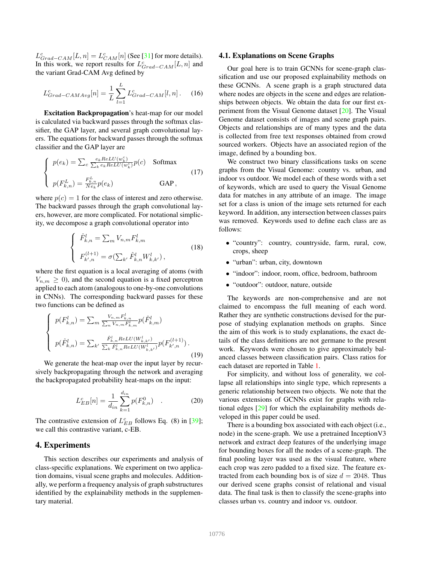$L_{Grad-CAM}^{c}[L,n] = L_{CAM}^{c}[n]$  (See [31] for more details). In this work, we report results for  $L_{Grad-CAM}^c[L, n]$  and the variant Grad-CAM Avg defined by

$$
L_{Grad-CAMAvg}^c[n] = \frac{1}{L} \sum_{l=1}^L L_{Grad-CAM}^c[l, n]. \tag{16}
$$

Excitation Backpropagation's heat-map for our model is calculated via backward passes through the softmax classifier, the GAP layer, and several graph convolutional layers. The equations for backward passes through the softmax classifier and the GAP layer are

$$
\begin{cases}\n p(e_k) = \sum_c \frac{e_k ReLU(w_k^c)}{\sum_k e_k ReLU(w_k^c)} p(c) & \text{Softmax} \\
 p(F_{k,n}^L) = \frac{F_{k,n}^L}{Ne_k} p(e_k) & \text{GAP}\,,\n\end{cases}\n\tag{17}
$$

where  $p(c) = 1$  for the class of interest and zero otherwise. The backward passes through the graph convolutional layers, however, are more complicated. For notational simplicity, we decompose a graph convolutional operator into

$$
\begin{cases}\n\hat{F}_{k,n}^l = \sum_m V_{n,m} F_{k,m}^l \\
F_{k',n}^{(l+1)} = \sigma(\sum_{k'} \hat{F}_{k,n}^l W_{k,k'}^l),\n\end{cases}
$$
\n(18)

where the first equation is a local averaging of atoms (with  $V_{n,m} \geq 0$ , and the second equation is a fixed perceptron applied to each atom (analogous to one-by-one convolutions in CNNs). The corresponding backward passes for these two functions can be defined as

$$
\begin{cases}\np(F_{k,n}^l) = \sum_m \frac{V_{n,m} F_{k,n}^l}{\sum_n V_{n,m} F_{k,m}^l} p(\hat{F}_{k,m}^l) \\
p(\hat{F}_{k,n}^l) = \sum_{k'} \frac{\hat{F}_{k,n}^l ReLU(W_{k,k'}^l)}{\sum_k \hat{F}_{k,n}^l ReLU(W_{k,k'}^l)} p(F_{k',n}^{(l+1)})\,. \n\end{cases} \tag{19}
$$

We generate the heat-map over the input layer by recursively backpropagating through the network and averaging the backpropagated probability heat-maps on the input:

$$
L_{EB}^c[n] = \frac{1}{d_{in}} \sum_{k=1}^{d_{in}} p(F_{k,n}^0) \quad . \tag{20}
$$

The contrastive extension of  $L_{EB}^c$  follows Eq. (8) in [39]; we call this contrastive variant, c-EB.

# 4. Experiments

This section describes our experiments and analysis of class-specific explanations. We experiment on two application domains, visual scene graphs and molecules. Additionally, we perform a frequency analysis of graph substructures identified by the explainability methods in the supplementary material.

#### 4.1. Explanations on Scene Graphs

Our goal here is to train GCNNs for scene-graph classification and use our proposed explainability methods on these GCNNs. A scene graph is a graph structured data where nodes are objects in the scene and edges are relationships between objects. We obtain the data for our first experiment from the Visual Genome dataset [20]. The Visual Genome dataset consists of images and scene graph pairs. Objects and relationships are of many types and the data is collected from free text responses obtained from crowd sourced workers. Objects have an associated region of the image, defined by a bounding box.

We construct two binary classifications tasks on scene graphs from the Visual Genome: country vs. urban, and indoor vs outdoor. We model each of these words with a set of keywords, which are used to query the Visual Genome data for matches in any attribute of an image. The image set for a class is union of the image sets returned for each keyword. In addition, any intersection between classes pairs was removed. Keywords used to define each class are as follows:

- "country": country, countryside, farm, rural, cow, crops, sheep
- "urban": urban, city, downtown
- "indoor": indoor, room, office, bedroom, bathroom
- "outdoor": outdoor, nature, outside

The keywords are non-comprehensive and are not claimed to encompass the full meaning of each word. Rather they are synthetic constructions devised for the purpose of studying explanation methods on graphs. Since the aim of this work is to study explanations, the exact details of the class definitions are not germane to the present work. Keywords were chosen to give approximately balanced classes between classification pairs. Class ratios for each dataset are reported in Table 1.

For simplicity, and without loss of generality, we collapse all relationships into single type, which represents a generic relationship between two objects. We note that the various extensions of GCNNs exist for graphs with relational edges [29] for which the explainability methods developed in this paper could be used.

There is a bounding box associated with each object (i.e., node) in the scene-graph. We use a pretrained InceptionV3 network and extract deep features of the underlying image for bounding boxes for all the nodes of a scene-graph. The final pooling layer was used as the visual feature, where each crop was zero padded to a fixed size. The feature extracted from each bounding box is of size  $d = 2048$ . Thus our derived scene graphs consist of relational and visual data. The final task is then to classify the scene-graphs into classes urban vs. country and indoor vs. outdoor.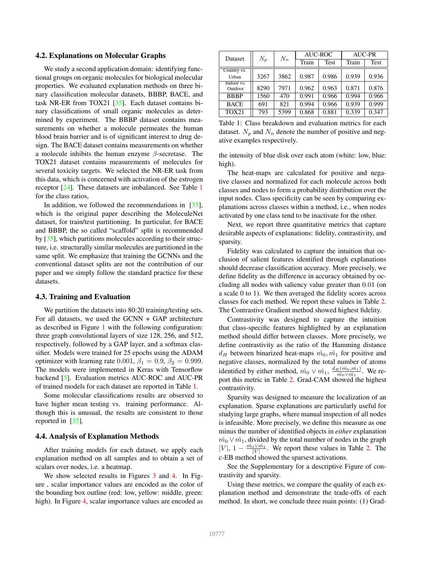### 4.2. Explanations on Molecular Graphs

We study a second application domain: identifying functional groups on organic molecules for biological molecular properties. We evaluated explanation methods on three binary classification molecular datasets, BBBP, BACE, and task NR-ER from TOX21 [35]. Each dataset contains binary classifications of small organic molecules as determined by experiment. The BBBP dataset contains measurements on whether a molecule permeates the human blood brain barrier and is of significant interest to drug design. The BACE dataset contains measurements on whether a molecule inhibits the human enzyme  $\beta$ -secretase. The TOX21 dataset contains measurements of molecules for several toxicity targets. We selected the NR-ER task from this data, which is concerned with activation of the estrogen receptor [24]. These datasets are imbalanced. See Table 1 for the class ratios,

In addition, we followed the recommendations in [35], which is the original paper describing the MoleculeNet dataset, for train/test partitioning. In particular, for BACE and BBBP, the so called "scaffold" split is recommended by [35], which partitions molecules according to their structure, i.e. structurally similar molecules are partitioned in the same split. We emphasize that training the GCNNs and the conventional dataset splits are not the contribution of our paper and we simply follow the standard practice for these datasets.

#### 4.3. Training and Evaluation

We partition the datasets into 80:20 training/testing sets. For all datasets, we used the GCNN + GAP architecture as described in Figure 1 with the following configuration: three graph convolutional layers of size 128, 256, and 512, respectively, followed by a GAP layer, and a softmax classifier. Models were trained for 25 epochs using the ADAM optimizer with learning rate 0.001,  $\beta_1 = 0.9$ ,  $\beta_2 = 0.999$ . The models were implemented in Keras with Tensorflow backend [5]. Evaluation metrics AUC-ROC and AUC-PR of trained models for each dataset are reported in Table 1.

Some molecular classifications results are observed to have higher mean testing vs. training performance. Although this is unusual, the results are consistent to those reported in [35].

### 4.4. Analysis of Explanation Methods

After training models for each dataset, we apply each explanation method on all samples and to obtain a set of scalars over nodes, i.e. a heatmap.

We show selected results in Figures 3 and 4. In Figure , scalar importance values are encoded as the color of the bounding box outline (red: low, yellow: middle, green: high). In Figure 4, scalar importance values are encoded as

| Dataset               | $N_p$ | $N_n$ | AUC-ROC |             | <b>AUC-PR</b> |       |
|-----------------------|-------|-------|---------|-------------|---------------|-------|
|                       |       |       | Train   | <b>Test</b> | Train         | Test  |
| Country vs.<br>Urban  | 3267  | 3862  | 0.987   | 0.986       | 0.939         | 0.936 |
| Indoor vs.<br>Outdoor | 8290  | 7971  | 0.962   | 0.963       | 0.871         | 0.876 |
| <b>BBBP</b>           | 1560  | 470   | 0.991   | 0.966       | 0.994         | 0.966 |
| <b>BACE</b>           | 691   | 821   | 0.994   | 0.966       | 0.939         | 0.999 |
| <b>TOX21</b>          | 793   | 5399  | 0.868   | 0.881       | 0.339         | 0.347 |

Table 1: Class breakdown and evaluation metrics for each dataset.  $N_p$  and  $N_n$  denote the number of positive and negative examples respectively.

the intensity of blue disk over each atom (white: low, blue: high).

The heat-maps are calculated for positive and negative classes and normalized for each molecule across both classes and nodes to form a probability distribution over the input nodes. Class specificity can be seen by comparing explanations across classes within a method, i.e., when nodes activated by one class tend to be inactivate for the other.

Next, we report three quantitative metrics that capture desirable aspects of explanations: fidelity, contrastivity, and sparsity.

Fidelity was calculated to capture the intuition that occlusion of salient features identified through explanations should decrease classification accuracy. More precisely, we define fidelity as the difference in accuracy obtained by occluding all nodes with saliency value greater than 0.01 (on a scale 0 to 1). We then averaged the fidelity scores across classes for each method. We report these values in Table 2. The Contrastive Gradient method showed highest fidelity.

Contrastivity was designed to capture the intuition that class-specific features highlighted by an explanation method should differ between classes. More precisely, we define contrastivity as the ratio of the Hamming distance  $d_H$  between binarized heat-maps  $\hat{m}_0, \hat{m}_1$  for positive and negative classes, normalized by the total number of atoms identified by either method,  $\hat{m_0} \vee \hat{m_1}$ ,  $\frac{d_H(\hat{m_0}, \hat{m_1})}{\hat{m_0} \vee \hat{m_1}}$ . We report this metric in Table 2. Grad-CAM showed the highest contrastivity.

Sparsity was designed to measure the localization of an explanation. Sparse explanations are particularly useful for studying large graphs, where manual inspection of all nodes is infeasible. More precisely, we define this measure as one minus the number of identified objects in *either* explanation  $m<sub>0</sub> v m<sub>1</sub>$ , divided by the total number of nodes in the graph  $|V|$ ,  $1 - \frac{\hat{m_0} \vee \hat{m_1}}{|V|}$ . We report these values in Table 2. The c-EB method showed the sparsest activations.

See the Supplementary for a descriptive Figure of contrastivity and sparsity.

Using these metrics, we compare the quality of each explanation method and demonstrate the trade-offs of each method. In short, we conclude three main points: (1) Grad-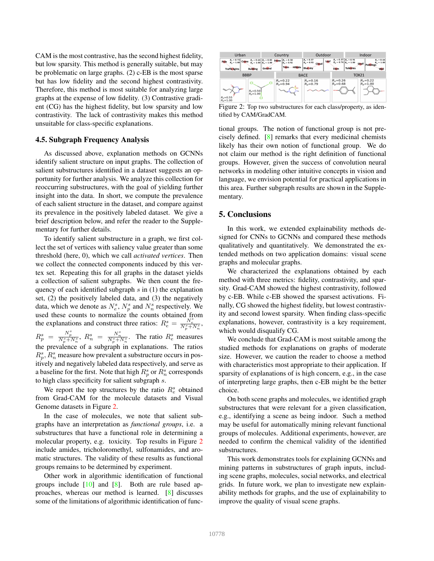CAM is the most contrastive, has the second highest fidelity, but low sparsity. This method is generally suitable, but may be problematic on large graphs. (2) c-EB is the most sparse but has low fidelity and the second highest contrastivity. Therefore, this method is most suitable for analyzing large graphs at the expense of low fidelity. (3) Contrastive gradient (CG) has the highest fidelity, but low sparsity and low contrastivity. The lack of contrastivity makes this method unsuitable for class-specific explanations.

### 4.5. Subgraph Frequency Analysis

As discussed above, explanation methods on GCNNs identify salient structure on input graphs. The collection of salient substructures identified in a dataset suggests an opportunity for further analysis. We analyze this collection for reoccurring substructures, with the goal of yielding further insight into the data. In short, we compute the prevalence of each salient structure in the dataset, and compare against its prevalence in the positively labeled dataset. We give a brief description below, and refer the reader to the Supplementary for further details.

To identify salient substructure in a graph, we first collect the set of vertices with saliency value greater than some threshold (here, 0), which we call *activated vertices*. Then we collect the connected components induced by this vertex set. Repeating this for all graphs in the dataset yields a collection of salient subgraphs. We then count the frequency of each identified subgraph  $s$  in (1) the explanation set, (2) the positively labeled data, and (3) the negatively data, which we denote as  $N_e^s$ ,  $N_p^s$  and  $N_n^s$  respectively. We used these counts to normalize the counts obtained from the explanations and construct three ratios:  $R_e^s = \frac{N_e^s}{N_p^s + N_n^s}$ ,  $R_p^s = \frac{N_p^s}{N_p^s + N_n^s}$ ,  $R_n^s = \frac{N_n^s}{N_p^s + N_n^s}$ . The ratio  $R_e^s$  measures the prevalence of a subgraph in explanations. The ratios  $R_p^s$ ,  $R_n^s$  measure how prevalent a substructure occurs in positively and negatively labeled data respectively, and serve as a baseline for the first. Note that high  $R_p^s$  or  $R_n^s$  corresponds to high class specificity for salient subgraph s.

We report the top structures by the ratio  $R_e^s$  obtained from Grad-CAM for the molecule datasets and Visual Genome datasets in Figure 2.

In the case of molecules, we note that salient subgraphs have an interpretation as *functional groups*, i.e. a substructures that have a functional role in determining a molecular property, e.g. toxicity. Top results in Figure 2 include amides, tricholoromethyl, sulfonamides, and aromatic structures. The validity of these results as functional groups remains to be determined by experiment.

Other work in algorithmic identification of functional groups include  $[10]$  and  $[8]$ . Both are rule based approaches, whereas our method is learned. [8] discusses some of the limitations of algorithmic identification of func-



Figure 2: Top two substructures for each class/property, as identified by CAM/GradCAM.

tional groups. The notion of functional group is not precisely defined. [8] remarks that every medicinal chemists likely has their own notion of functional group. We do not claim our method is the right definition of functional groups. However, given the success of convolution neural networks in modeling other intuitive concepts in vision and language, we envision potential for practical applications in this area. Further subgraph results are shown in the Supplementary.

# 5. Conclusions

In this work, we extended explainability methods designed for CNNs to GCNNs and compared these methods qualitatively and quantitatively. We demonstrated the extended methods on two application domains: visual scene graphs and molecular graphs.

We characterized the explanations obtained by each method with three metrics: fidelity, contrastivity, and sparsity. Grad-CAM showed the highest contrastivity, followed by c-EB. While c-EB showed the sparsest activations. Finally, CG showed the highest fidelity, but lowest contrastivity and second lowest sparsity. When finding class-specific explanations, however, contrastivity is a key requirement, which would disqualify CG.

We conclude that Grad-CAM is most suitable among the studied methods for explanations on graphs of moderate size. However, we caution the reader to choose a method with characteristics most appropriate to their application. If sparsity of explanations of is high concern, e.g., in the case of interpreting large graphs, then c-EB might be the better choice.

On both scene graphs and molecules, we identified graph substructures that were relevant for a given classification, e.g., identifying a scene as being indoor. Such a method may be useful for automatically mining relevant functional groups of molecules. Additional experiments, however, are needed to confirm the chemical validity of the identified substructures.

This work demonstrates tools for explaining GCNNs and mining patterns in substructures of graph inputs, including scene graphs, molecules, social networks, and electrical grids. In future work, we plan to investigate new explainability methods for graphs, and the use of explainability to improve the quality of visual scene graphs.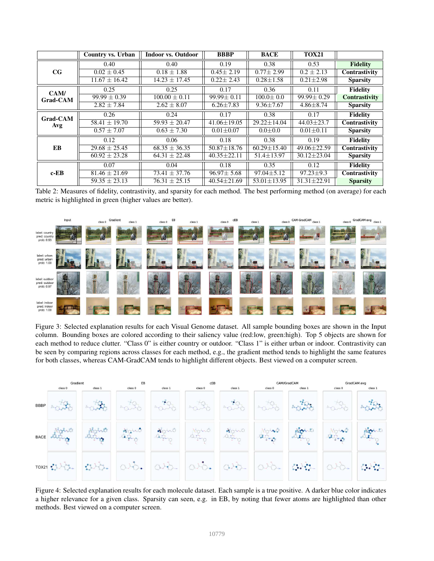|                         | Country vs. Urban | <b>Indoor vs. Outdoor</b> | <b>BBBP</b>       | <b>BACE</b>       | <b>TOX21</b>      |                 |
|-------------------------|-------------------|---------------------------|-------------------|-------------------|-------------------|-----------------|
| CG                      | 0.40              | 0.40                      | 0.19              | 0.38              | 0.53              | <b>Fidelity</b> |
|                         | $0.02 \pm 0.45$   | $0.18 \pm 1.88$           | $0.45 \pm 2.19$   | $0.77 \pm 2.99$   | $0.2 \pm 2.13$    | Contrastivity   |
|                         | $11.67 \pm 16.42$ | $14.23 \pm 17.45$         | $0.22 \pm 2.43$   | $0.28 \pm 1.58$   | $0.21 \pm 2.98$   | <b>Sparsity</b> |
| CAM/<br><b>Grad-CAM</b> | 0.25              | 0.25                      | 0.17              | 0.36              | 0.11              | <b>Fidelity</b> |
|                         | $99.99 \pm 0.39$  | $100.00 \pm 0.11$         | 99.99±0.11        | $100.0 \pm 0.0$   | $99.99 \pm 0.29$  | Contrastivity   |
|                         | $2.82 \pm 7.84$   | $2.62 \pm 8.07$           | $6.26 \pm 7.83$   | $9.36 \pm 7.67$   | $4.86 \pm 8.74$   | <b>Sparsity</b> |
| <b>Grad-CAM</b><br>Avg  | 0.26              | 0.24                      | 0.17              | 0.38              | 0.17              | <b>Fidelity</b> |
|                         | $58.41 \pm 19.70$ | $59.93 \pm 20.47$         | $41.06 \pm 19.05$ | $29.22 \pm 14.04$ | $44.03 \pm 23.7$  | Contrastivity   |
|                         | $0.57 \pm 7.07$   | $0.63 \pm 7.30$           | $0.01 \pm 0.07$   | $0.0{\pm}0.0$     | $0.01 \pm 0.11$   | <b>Sparsity</b> |
| EB                      | 0.12              | 0.06                      | 0.18              | 0.38              | 0.19              | <b>Fidelity</b> |
|                         | $29.68 \pm 25.45$ | $68.35 \pm 36.35$         | $50.87 \pm 18.76$ | $60.29 \pm 15.40$ | 49.06±22.59       | Contrastivity   |
|                         | $60.92 \pm 23.28$ | $64.31 \pm 22.48$         | $40.35 \pm 22.11$ | $51.4 \pm 13.97$  | $30.12 \pm 23.04$ | <b>Sparsity</b> |
| $c$ -EB                 | 0.07              | 0.04                      | 0.18              | 0.35              | 0.12              | <b>Fidelity</b> |
|                         | $81.46 \pm 21.69$ | $73.41 \pm 37.76$         | $96.97 \pm 5.68$  | $97.04 \pm 5.12$  | $97.23 \pm 9.3$   | Contrastivity   |
|                         | $59.35 \pm 23.13$ | $76.31 \pm 25.15$         | $40.54 \pm 21.69$ | $53.01 \pm 13.95$ | $31.31 \pm 22.91$ | <b>Sparsity</b> |

Table 2: Measures of fidelity, contrastivity, and sparsity for each method. The best performing method (on average) for each metric is highlighted in green (higher values are better).



Figure 3: Selected explanation results for each Visual Genome dataset. All sample bounding boxes are shown in the Input column. Bounding boxes are colored according to their saliency value (red:low, green:high). Top 5 objects are shown for each method to reduce clutter. "Class 0" is either country or outdoor. "Class 1" is either urban or indoor. Contrastivity can be seen by comparing regions across classes for each method, e.g., the gradient method tends to highlight the same features for both classes, whereas CAM-GradCAM tends to highlight different objects. Best viewed on a computer screen.



Figure 4: Selected explanation results for each molecule dataset. Each sample is a true positive. A darker blue color indicates a higher relevance for a given class. Sparsity can seen, e.g. in EB, by noting that fewer atoms are highlighted than other methods. Best viewed on a computer screen.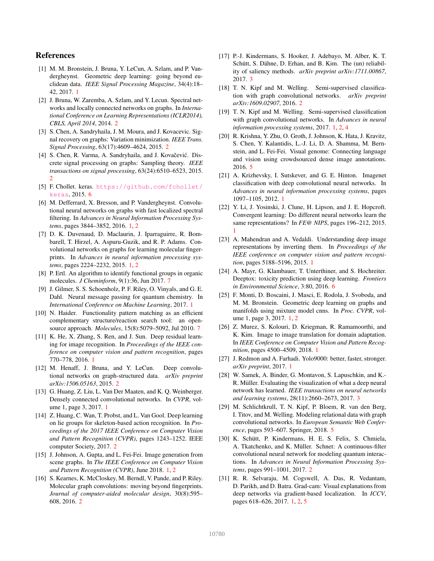# References

- [1] M. M. Bronstein, J. Bruna, Y. LeCun, A. Szlam, and P. Vandergheynst. Geometric deep learning: going beyond euclidean data. *IEEE Signal Processing Magazine*, 34(4):18– 42, 2017. 1
- [2] J. Bruna, W. Zaremba, A. Szlam, and Y. Lecun. Spectral networks and locally connected networks on graphs. In *International Conference on Learning Representations (ICLR2014), CBLS, April 2014*, 2014. 2
- [3] S. Chen, A. Sandryhaila, J. M. Moura, and J. Kovacevic. Signal recovery on graphs: Variation minimization. *IEEE Trans. Signal Processing*, 63(17):4609–4624, 2015. 2
- [4] S. Chen, R. Varma, A. Sandryhaila, and J. Kovačević. Discrete signal processing on graphs: Sampling theory. *IEEE transactions on signal processing*, 63(24):6510–6523, 2015. 2
- [5] F. Chollet. keras. https://github.com/fchollet/ keras, 2015. 6
- [6] M. Defferrard, X. Bresson, and P. Vandergheynst. Convolutional neural networks on graphs with fast localized spectral filtering. In *Advances in Neural Information Processing Systems*, pages 3844–3852, 2016. 1, 2
- [7] D. K. Duvenaud, D. Maclaurin, J. Iparraguirre, R. Bombarell, T. Hirzel, A. Aspuru-Guzik, and R. P. Adams. Convolutional networks on graphs for learning molecular fingerprints. In *Advances in neural information processing systems*, pages 2224–2232, 2015. 1, 2
- [8] P. Ertl. An algorithm to identify functional groups in organic molecules. *J Cheminform*, 9(1):36, Jun 2017. 7
- [9] J. Gilmer, S. S. Schoenholz, P. F. Riley, O. Vinyals, and G. E. Dahl. Neural message passing for quantum chemistry. In *International Conference on Machine Learning*, 2017. 1
- [10] N. Haider. Functionality pattern matching as an efficient complementary structure/reaction search tool: an opensource approach. *Molecules*, 15(8):5079–5092, Jul 2010. 7
- [11] K. He, X. Zhang, S. Ren, and J. Sun. Deep residual learning for image recognition. In *Proceedings of the IEEE conference on computer vision and pattern recognition*, pages 770–778, 2016. 1
- [12] M. Henaff, J. Bruna, and Y. LeCun. Deep convolutional networks on graph-structured data. *arXiv preprint arXiv:1506.05163*, 2015. 2
- [13] G. Huang, Z. Liu, L. Van Der Maaten, and K. Q. Weinberger. Densely connected convolutional networks. In *CVPR*, volume 1, page 3, 2017. 1
- [14] Z. Huang, C. Wan, T. Probst, and L. Van Gool. Deep learning on lie groups for skeleton-based action recognition. In *Proceedings of the 2017 IEEE Conference on Computer Vision and Pattern Recognition (CVPR)*, pages 1243–1252. IEEE computer Society, 2017. 2
- [15] J. Johnson, A. Gupta, and L. Fei-Fei. Image generation from scene graphs. In *The IEEE Conference on Computer Vision and Pattern Recognition (CVPR)*, June 2018. 1, 2
- [16] S. Kearnes, K. McCloskey, M. Berndl, V. Pande, and P. Riley. Molecular graph convolutions: moving beyond fingerprints. *Journal of computer-aided molecular design*, 30(8):595– 608, 2016. 2
- [17] P.-J. Kindermans, S. Hooker, J. Adebayo, M. Alber, K. T. Schütt, S. Dähne, D. Erhan, and B. Kim. The (un) reliability of saliency methods. *arXiv preprint arXiv:1711.00867*, 2017. 3
- [18] T. N. Kipf and M. Welling. Semi-supervised classification with graph convolutional networks. *arXiv preprint arXiv:1609.02907*, 2016. 2
- [19] T. N. Kipf and M. Welling. Semi-supervised classification with graph convolutional networks. In *Advances in neural information processing systems*, 2017. 1, 2, 4
- [20] R. Krishna, Y. Zhu, O. Groth, J. Johnson, K. Hata, J. Kravitz, S. Chen, Y. Kalantidis, L.-J. Li, D. A. Shamma, M. Bernstein, and L. Fei-Fei. Visual genome: Connecting language and vision using crowdsourced dense image annotations. 2016. 5
- [21] A. Krizhevsky, I. Sutskever, and G. E. Hinton. Imagenet classification with deep convolutional neural networks. In *Advances in neural information processing systems*, pages 1097–1105, 2012. 1
- [22] Y. Li, J. Yosinski, J. Clune, H. Lipson, and J. E. Hopcroft. Convergent learning: Do different neural networks learn the same representations? In *FE@ NIPS*, pages 196–212, 2015. 1
- [23] A. Mahendran and A. Vedaldi. Understanding deep image representations by inverting them. In *Proceedings of the IEEE conference on computer vision and pattern recognition*, pages 5188–5196, 2015. 1
- [24] A. Mayr, G. Klambauer, T. Unterthiner, and S. Hochreiter. Deeptox: toxicity prediction using deep learning. *Frontiers in Environmental Science*, 3:80, 2016. 6
- [25] F. Monti, D. Boscaini, J. Masci, E. Rodola, J. Svoboda, and M. M. Bronstein. Geometric deep learning on graphs and manifolds using mixture model cnns. In *Proc. CVPR*, volume 1, page 3, 2017. 1, 2
- [26] Z. Murez, S. Kolouri, D. Kriegman, R. Ramamoorthi, and K. Kim. Image to image translation for domain adaptation. In *IEEE Conference on Computer Vision and Pattern Recognition*, pages 4500–4509, 2018. 1
- [27] J. Redmon and A. Farhadi. Yolo9000: better, faster, stronger. *arXiv preprint*, 2017. 1
- [28] W. Samek, A. Binder, G. Montavon, S. Lapuschkin, and K.-R. Müller. Evaluating the visualization of what a deep neural network has learned. *IEEE transactions on neural networks and learning systems*, 28(11):2660–2673, 2017. 3
- [29] M. Schlichtkrull, T. N. Kipf, P. Bloem, R. van den Berg, I. Titov, and M. Welling. Modeling relational data with graph convolutional networks. In *European Semantic Web Conference*, pages 593–607. Springer, 2018. 5
- [30] K. Schütt, P. Kindermans, H. E. S. Felix, S. Chmiela, A. Tkatchenko, and K. Müller. Schnet: A continuous-filter convolutional neural network for modeling quantum interactions. In *Advances in Neural Information Processing Systems*, pages 991–1001, 2017. 2
- [31] R. R. Selvaraju, M. Cogswell, A. Das, R. Vedantam, D. Parikh, and D. Batra. Grad-cam: Visual explanations from deep networks via gradient-based localization. In *ICCV*, pages 618–626, 2017. 1, 2, 5